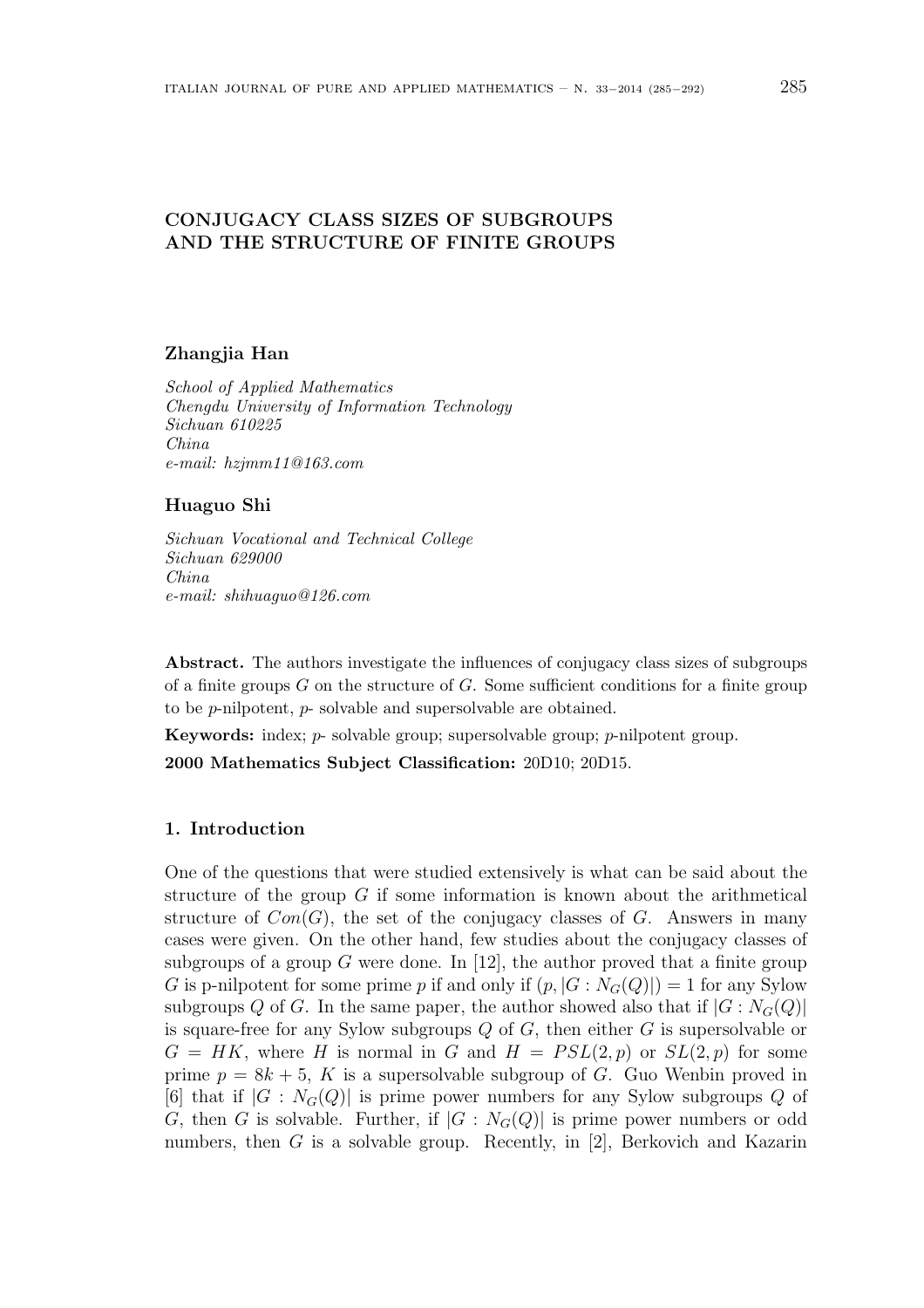# CONJUGACY CLASS SIZES OF SUBGROUPS AND THE STRUCTURE OF FINITE GROUPS

## Zhangjia Han

School of Applied Mathematics Chengdu University of Information Technology Sichuan 610225 China e-mail: hzjmm11@163.com

#### Huaguo Shi

Sichuan Vocational and Technical College Sichuan 629000 China e-mail: shihuaguo@126.com

Abstract. The authors investigate the influences of conjugacy class sizes of subgroups of a finite groups  $G$  on the structure of  $G$ . Some sufficient conditions for a finite group to be p-nilpotent, p- solvable and supersolvable are obtained.

Keywords: index; p- solvable group; supersolvable group; p-nilpotent group. 2000 Mathematics Subject Classification: 20D10; 20D15.

# 1. Introduction

One of the questions that were studied extensively is what can be said about the structure of the group  $G$  if some information is known about the arithmetical structure of  $Con(G)$ , the set of the conjugacy classes of G. Answers in many cases were given. On the other hand, few studies about the conjugacy classes of subgroups of a group G were done. In [12], the author proved that a finite group G is p-nilpotent for some prime p if and only if  $(p, |G : N_G(Q)|) = 1$  for any Sylow subgroups Q of G. In the same paper, the author showed also that if  $|G: N_G(Q)|$ is square-free for any Sylow subgroups  $Q$  of  $G$ , then either  $G$  is supersolvable or  $G = HK$ , where H is normal in G and  $H = PSL(2,p)$  or  $SL(2,p)$  for some prime  $p = 8k + 5$ , K is a supersolvable subgroup of G. Guo Wenbin proved in [6] that if  $|G : N_G(Q)|$  is prime power numbers for any Sylow subgroups Q of G, then G is solvable. Further, if  $|G : N_G(Q)|$  is prime power numbers or odd numbers, then G is a solvable group. Recently, in  $[2]$ , Berkovich and Kazarin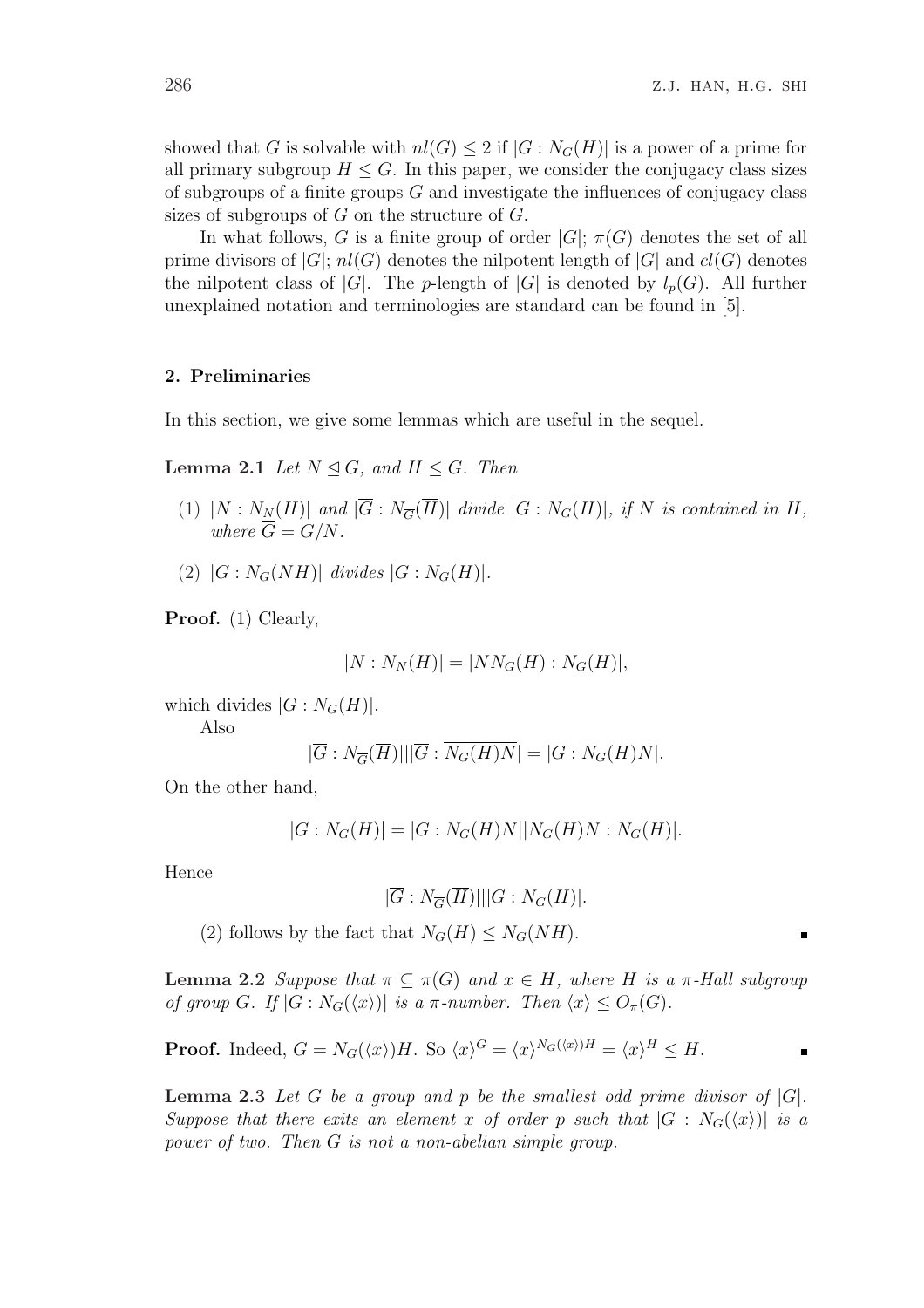showed that G is solvable with  $nl(G) \leq 2$  if  $|G: N_G(H)|$  is a power of a prime for all primary subgroup  $H \leq G$ . In this paper, we consider the conjugacy class sizes of subgroups of a finite groups  $G$  and investigate the influences of conjugacy class sizes of subgroups of  $G$  on the structure of  $G$ .

In what follows, G is a finite group of order  $|G|$ ;  $\pi(G)$  denotes the set of all prime divisors of  $|G|$ ;  $nl(G)$  denotes the nilpotent length of  $|G|$  and  $cl(G)$  denotes the nilpotent class of |G|. The p-length of  $|G|$  is denoted by  $l_p(G)$ . All further unexplained notation and terminologies are standard can be found in [5].

#### 2. Preliminaries

In this section, we give some lemmas which are useful in the sequel.

**Lemma 2.1** Let  $N \trianglelefteq G$ , and  $H \leq G$ . Then

- (1)  $|N: N_N(H)|$  and  $|\overline{G}: N_{\overline{G}}(\overline{H})|$  divide  $|G:N_G(H)|$ , if N is contained in H, where  $\overline{G} = G/N$ .
- (2)  $|G: N_G(NH)|$  divides  $|G: N_G(H)|$ .

Proof. (1) Clearly,

$$
|N: N_N(H)| = |NN_G(H): N_G(H)|,
$$

which divides  $|G:N_G(H)|$ .

Also

$$
|\overline{G}:N_{\overline{G}}(\overline{H})|||\overline{G}:\overline{N_G(H)N}|=|G:N_G(H)N|.
$$

On the other hand,

$$
|G:N_G(H)| = |G:N_G(H)N||N_G(H)N:N_G(H)|.
$$

Hence

$$
|\overline{G}:N_{\overline{G}}(\overline{H})|||G:N_G(H)|.
$$

(2) follows by the fact that  $N_G(H) \leq N_G(NH)$ .

**Lemma 2.2** Suppose that  $\pi \subseteq \pi(G)$  and  $x \in H$ , where H is a  $\pi$ -Hall subgroup of group G. If  $|G: N_G(\langle x \rangle)|$  is a  $\pi$ -number. Then  $\langle x \rangle \leq O_{\pi}(G)$ .

**Proof.** Indeed, 
$$
G = N_G(\langle x \rangle)H
$$
. So  $\langle x \rangle^G = \langle x \rangle^{N_G(\langle x \rangle)H} = \langle x \rangle^H \leq H$ .

**Lemma 2.3** Let G be a group and p be the smallest odd prime divisor of  $|G|$ . Suppose that there exits an element x of order p such that  $|G : N_G(\langle x \rangle)|$  is a power of two. Then G is not a non-abelian simple group.

 $\blacksquare$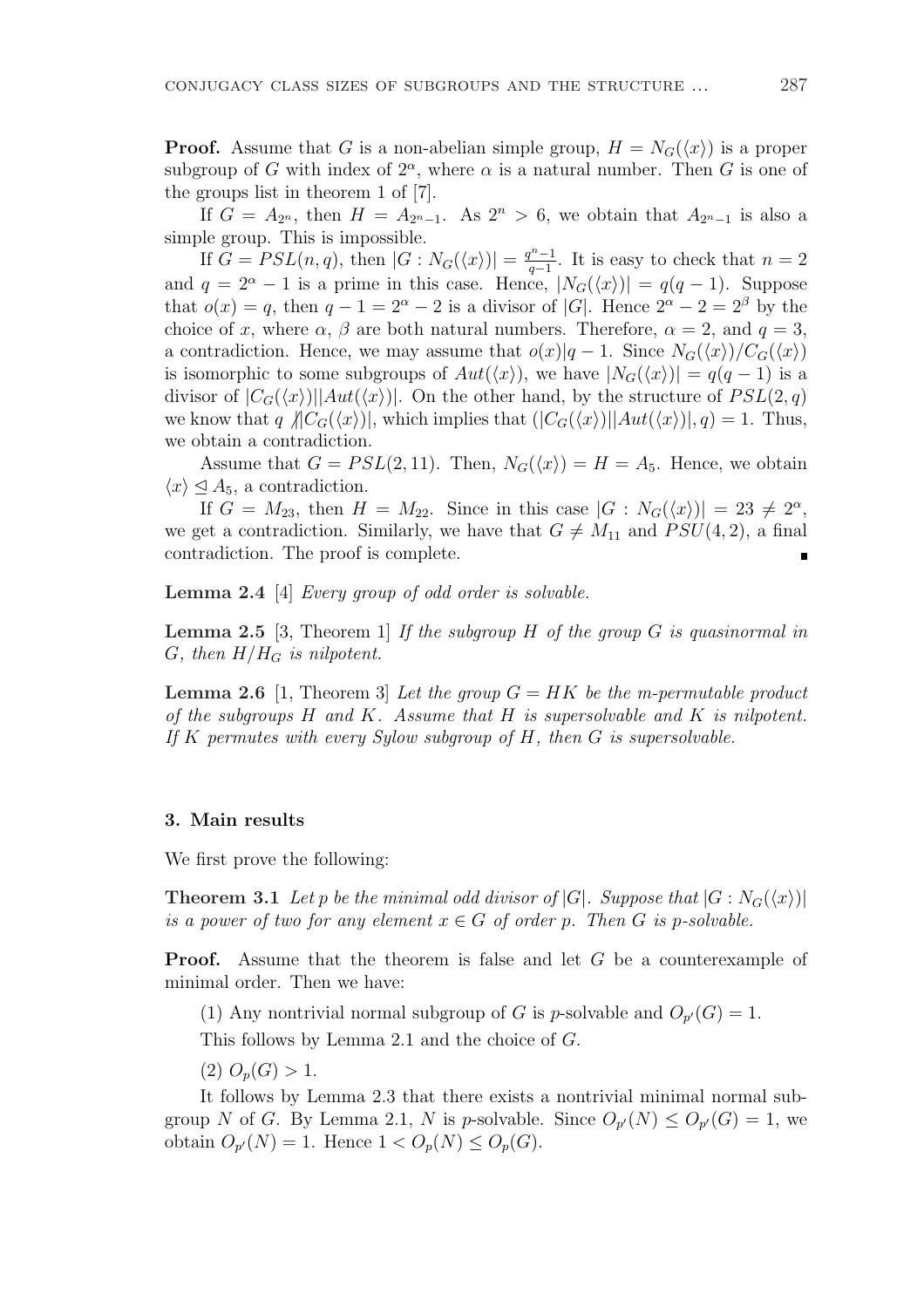**Proof.** Assume that G is a non-abelian simple group,  $H = N_G(\langle x \rangle)$  is a proper subgroup of G with index of  $2^{\alpha}$ , where  $\alpha$  is a natural number. Then G is one of the groups list in theorem 1 of [7].

If  $G = A_{2^n}$ , then  $H = A_{2^n-1}$ . As  $2^n > 6$ , we obtain that  $A_{2^n-1}$  is also a simple group. This is impossible.

If  $G = PSL(n, q)$ , then  $|G: N_G(\langle x \rangle)| = \frac{q^n - 1}{q-1}$  $\frac{n^{n}-1}{q-1}$ . It is easy to check that  $n=2$ and  $q = 2^{\alpha} - 1$  is a prime in this case. Hence,  $|N_G(\langle x \rangle)| = q(q-1)$ . Suppose that  $o(x) = q$ , then  $q - 1 = 2^{\alpha} - 2$  is a divisor of |G|. Hence  $2^{\alpha} - 2 = 2^{\beta}$  by the choice of x, where  $\alpha$ ,  $\beta$  are both natural numbers. Therefore,  $\alpha = 2$ , and  $q = 3$ , a contradiction. Hence, we may assume that  $o(x)|q-1$ . Since  $N_G(\langle x \rangle)/C_G(\langle x \rangle)$ is isomorphic to some subgroups of  $Aut(\langle x \rangle)$ , we have  $|N_G(\langle x \rangle)| = q(q-1)$  is a divisor of  $|C_G(\langle x \rangle)|$  aut $(\langle x \rangle)|$ . On the other hand, by the structure of  $PSL(2, q)$ we know that q  $\langle C_G(\langle x \rangle)|$ , which implies that  $(|C_G(\langle x \rangle)||Aut(\langle x \rangle)|, q) = 1$ . Thus, we obtain a contradiction.

Assume that  $G = PSL(2, 11)$ . Then,  $N_G(\langle x \rangle) = H = A_5$ . Hence, we obtain  $\langle x \rangle \leq A_5$ , a contradiction.

If  $G = M_{23}$ , then  $H = M_{22}$ . Since in this case  $|G : N_G(\langle x \rangle)| = 23 \neq 2^{\alpha}$ , we get a contradiction. Similarly, we have that  $G \neq M_{11}$  and  $PSU(4, 2)$ , a final contradiction. The proof is complete.

Lemma 2.4 [4] Every group of odd order is solvable.

**Lemma 2.5** [3, Theorem 1] If the subgroup H of the group G is quasinormal in G, then  $H/H_G$  is nilpotent.

**Lemma 2.6** [1, Theorem 3] Let the group  $G = HK$  be the m-permutable product of the subgroups  $H$  and  $K$ . Assume that  $H$  is supersolvable and  $K$  is nilpotent. If K permutes with every Sylow subgroup of  $H$ , then  $G$  is supersolvable.

### 3. Main results

We first prove the following:

**Theorem 3.1** Let p be the minimal odd divisor of  $|G|$ . Suppose that  $|G: N_G(\langle x \rangle)|$ is a power of two for any element  $x \in G$  of order p. Then G is p-solvable.

**Proof.** Assume that the theorem is false and let G be a counterexample of minimal order. Then we have:

(1) Any nontrivial normal subgroup of G is p-solvable and  $O_{p'}(G) = 1$ .

This follows by Lemma 2.1 and the choice of G.

(2)  $O_p(G) > 1$ .

It follows by Lemma 2.3 that there exists a nontrivial minimal normal subgroup N of G. By Lemma 2.1, N is p-solvable. Since  $O_{p}(N) \leq O_{p}(G) = 1$ , we obtain  $O_{p'}(N) = 1$ . Hence  $1 < O_p(N) \le O_p(G)$ .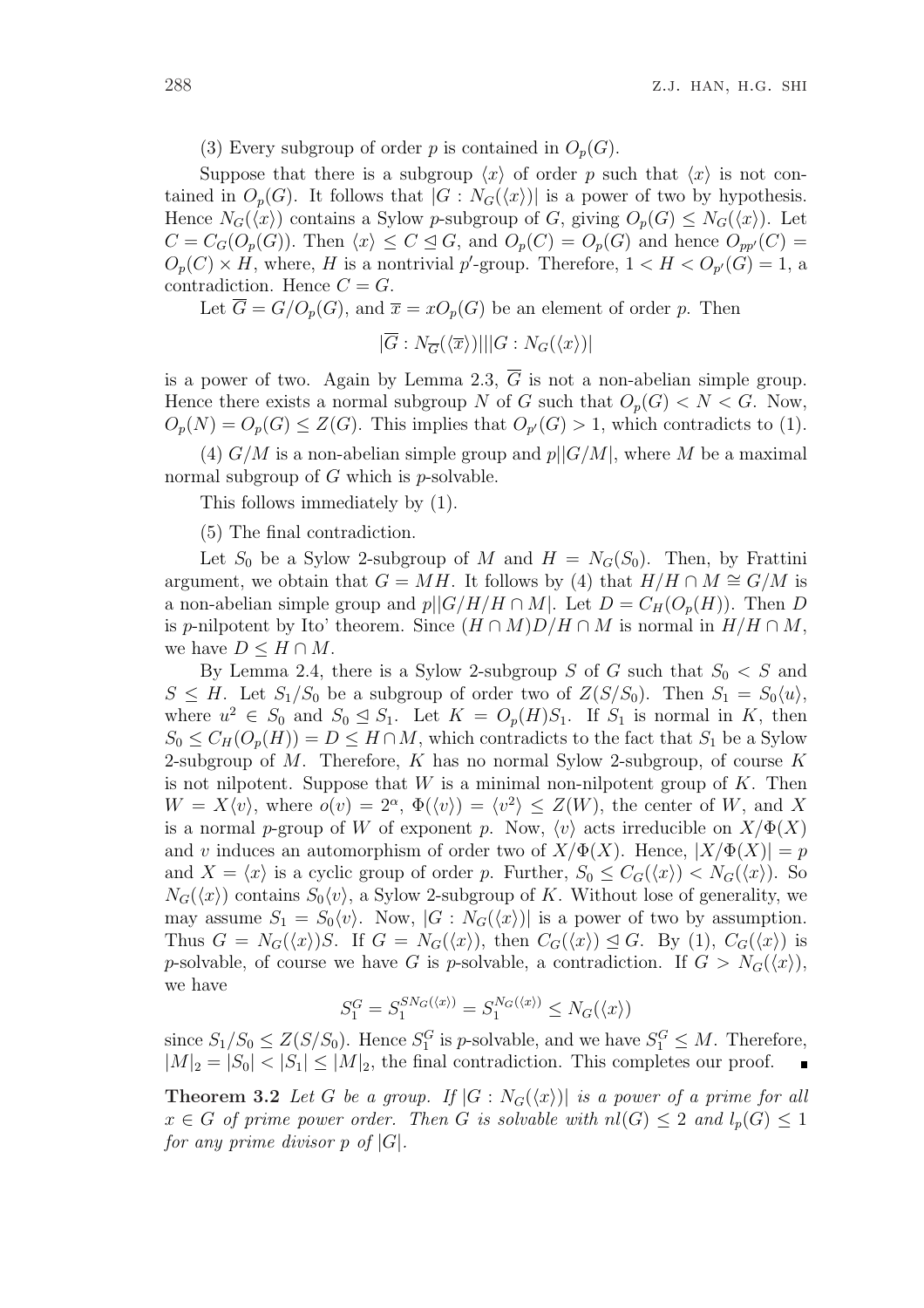(3) Every subgroup of order p is contained in  $O_p(G)$ .

Suppose that there is a subgroup  $\langle x \rangle$  of order p such that  $\langle x \rangle$  is not contained in  $O_p(G)$ . It follows that  $|G: N_G(\langle x \rangle)|$  is a power of two by hypothesis. Hence  $N_G(\langle x \rangle)$  contains a Sylow p-subgroup of G, giving  $O_p(G) \leq N_G(\langle x \rangle)$ . Let  $C = C_G(O_p(G))$ . Then  $\langle x \rangle \leq C \leq G$ , and  $O_p(C) = O_p(G)$  and hence  $O_{pp'}(C) =$  $O_p(C) \times H$ , where, H is a nontrivial p'-group. Therefore,  $1 < H < O_{p'}(G) = 1$ , a contradiction. Hence  $C = G$ .

Let  $\overline{G} = G/O_p(G)$ , and  $\overline{x} = xO_p(G)$  be an element of order p. Then

$$
|\overline{G}:N_{\overline{G}}(\langle \overline{x}\rangle)|||G:N_{G}(\langle x\rangle)|
$$

is a power of two. Again by Lemma 2.3,  $\overline{G}$  is not a non-abelian simple group. Hence there exists a normal subgroup N of G such that  $O_p(G) < N < G$ . Now,  $O_p(N) = O_p(G) \leq Z(G)$ . This implies that  $O_{p'}(G) > 1$ , which contradicts to (1).

(4)  $G/M$  is a non-abelian simple group and  $p||G/M|$ , where M be a maximal normal subgroup of  $G$  which is  $p$ -solvable.

This follows immediately by (1).

(5) The final contradiction.

Let  $S_0$  be a Sylow 2-subgroup of M and  $H = N_G(S_0)$ . Then, by Frattini argument, we obtain that  $G = MH$ . It follows by (4) that  $H/H \cap M \cong G/M$  is a non-abelian simple group and  $p||G/H/H \cap M|$ . Let  $D = C_H(O_p(H))$ . Then D is p-nilpotent by Ito' theorem. Since  $(H \cap M)D/H \cap M$  is normal in  $H/H \cap M$ , we have  $D \leq H \cap M$ .

By Lemma 2.4, there is a Sylow 2-subgroup S of G such that  $S_0 < S$  and  $S \leq H$ . Let  $S_1/S_0$  be a subgroup of order two of  $Z(S/S_0)$ . Then  $S_1 = S_0\langle u \rangle$ , where  $u^2 \in S_0$  and  $S_0 \leq S_1$ . Let  $K = O_p(H)S_1$ . If  $S_1$  is normal in K, then  $S_0 \leq C_H(O_n(H)) = D \leq H \cap M$ , which contradicts to the fact that  $S_1$  be a Sylow 2-subgroup of M. Therefore, K has no normal Sylow 2-subgroup, of course K is not nilpotent. Suppose that  $W$  is a minimal non-nilpotent group of  $K$ . Then  $W = X\langle v \rangle$ , where  $o(v) = 2^{\alpha}$ ,  $\Phi(\langle v \rangle) = \langle v^2 \rangle \leq Z(W)$ , the center of W, and X is a normal p-group of W of exponent p. Now,  $\langle v \rangle$  acts irreducible on  $X/\Phi(X)$ and v induces an automorphism of order two of  $X/\Phi(X)$ . Hence,  $|X/\Phi(X)| = p$ and  $X = \langle x \rangle$  is a cyclic group of order p. Further,  $S_0 \leq C_G(\langle x \rangle) < N_G(\langle x \rangle)$ . So  $N_G(\langle x \rangle)$  contains  $S_0\langle v \rangle$ , a Sylow 2-subgroup of K. Without lose of generality, we may assume  $S_1 = S_0\langle v \rangle$ . Now,  $|G : N_G(\langle x \rangle)|$  is a power of two by assumption. Thus  $G = N_G(\langle x \rangle)S$ . If  $G = N_G(\langle x \rangle)$ , then  $C_G(\langle x \rangle) \leq G$ . By (1),  $C_G(\langle x \rangle)$  is p-solvable, of course we have G is p-solvable, a contradiction. If  $G > N_G(\langle x \rangle)$ , we have

$$
S_1^G = S_1^{S N_G(\langle x \rangle)} = S_1^{N_G(\langle x \rangle)} \le N_G(\langle x \rangle)
$$

since  $S_1/S_0 \leq Z(S/S_0)$ . Hence  $S_1^G$  is *p*-solvable, and we have  $S_1^G \leq M$ . Therefore,  $|M|_2 = |S_0| < |S_1| \leq |M|_2$ , the final contradiction. This completes our proof.

**Theorem 3.2** Let G be a group. If  $|G : N_G(\langle x \rangle)|$  is a power of a prime for all  $x \in G$  of prime power order. Then G is solvable with  $nl(G) \leq 2$  and  $l_p(G) \leq 1$ for any prime divisor  $p \circ f |G|$ .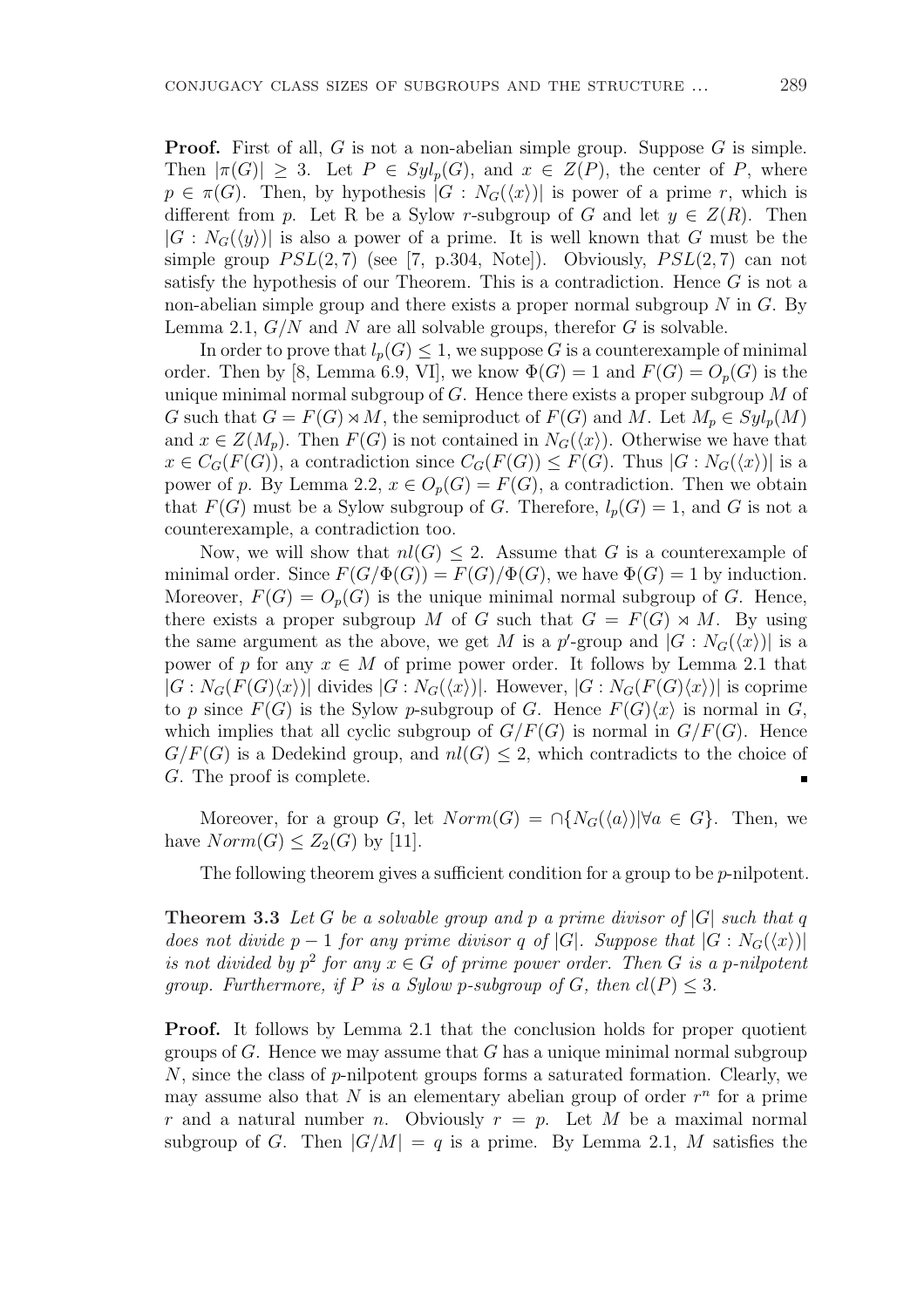**Proof.** First of all, G is not a non-abelian simple group. Suppose G is simple. Then  $|\pi(G)| \geq 3$ . Let  $P \in Syl_p(G)$ , and  $x \in Z(P)$ , the center of P, where  $p \in \pi(G)$ . Then, by hypothesis  $|G : N_G(\langle x \rangle)|$  is power of a prime r, which is different from p. Let R be a Sylow r-subgroup of G and let  $y \in Z(R)$ . Then  $|G: N_G(\langle y \rangle)|$  is also a power of a prime. It is well known that G must be the simple group  $PSL(2, 7)$  (see [7, p.304, Note]). Obviously,  $PSL(2, 7)$  can not satisfy the hypothesis of our Theorem. This is a contradiction. Hence  $G$  is not a non-abelian simple group and there exists a proper normal subgroup  $N$  in  $G$ . By Lemma 2.1,  $G/N$  and N are all solvable groups, therefor G is solvable.

In order to prove that  $l_p(G) \leq 1$ , we suppose G is a counterexample of minimal order. Then by [8, Lemma 6.9, VI], we know  $\Phi(G) = 1$  and  $F(G) = O_n(G)$  is the unique minimal normal subgroup of  $G$ . Hence there exists a proper subgroup  $M$  of G such that  $G = F(G) \rtimes M$ , the semiproduct of  $F(G)$  and M. Let  $M_p \in Syl_p(M)$ and  $x \in Z(M_p)$ . Then  $F(G)$  is not contained in  $N_G(\langle x \rangle)$ . Otherwise we have that  $x \in C_G(F(G))$ , a contradiction since  $C_G(F(G)) \leq F(G)$ . Thus  $|G: N_G(\langle x \rangle)|$  is a power of p. By Lemma 2.2,  $x \in O_p(G) = F(G)$ , a contradiction. Then we obtain that  $F(G)$  must be a Sylow subgroup of G. Therefore,  $l_p(G) = 1$ , and G is not a counterexample, a contradiction too.

Now, we will show that  $nl(G) \leq 2$ . Assume that G is a counterexample of minimal order. Since  $F(G/\Phi(G)) = F(G)/\Phi(G)$ , we have  $\Phi(G) = 1$  by induction. Moreover,  $F(G) = O_p(G)$  is the unique minimal normal subgroup of G. Hence, there exists a proper subgroup M of G such that  $G = F(G) \rtimes M$ . By using the same argument as the above, we get M is a p'-group and  $|G: N_G(\langle x \rangle)|$  is a power of p for any  $x \in M$  of prime power order. It follows by Lemma 2.1 that  $|G: N_G(F(G)\langle x\rangle)|$  divides  $|G: N_G(\langle x\rangle)|$ . However,  $|G: N_G(F(G)\langle x\rangle)|$  is coprime to p since  $F(G)$  is the Sylow p-subgroup of G. Hence  $F(G)\langle x \rangle$  is normal in G, which implies that all cyclic subgroup of  $G/F(G)$  is normal in  $G/F(G)$ . Hence  $G/F(G)$  is a Dedekind group, and  $nl(G) \leq 2$ , which contradicts to the choice of G. The proof is complete.

Moreover, for a group G, let  $Norm(G) = \bigcap \{N_G(\langle a \rangle) | \forall a \in G\}$ . Then, we have  $Norm(G) \leq Z_2(G)$  by [11].

The following theorem gives a sufficient condition for a group to be *p*-nilpotent.

**Theorem 3.3** Let G be a solvable group and p a prime divisor of  $|G|$  such that q does not divide p − 1 for any prime divisor q of |G|. Suppose that  $|G: N_G(\langle x \rangle)|$ is not divided by  $p^2$  for any  $x \in G$  of prime power order. Then G is a p-nilpotent group. Furthermore, if P is a Sylow p-subgroup of G, then  $cl(P) \leq 3$ .

**Proof.** It follows by Lemma 2.1 that the conclusion holds for proper quotient groups of G. Hence we may assume that G has a unique minimal normal subgroup N, since the class of p-nilpotent groups forms a saturated formation. Clearly, we may assume also that  $N$  is an elementary abelian group of order  $r^n$  for a prime r and a natural number n. Obviously  $r = p$ . Let M be a maximal normal subgroup of G. Then  $|G/M| = q$  is a prime. By Lemma 2.1, M satisfies the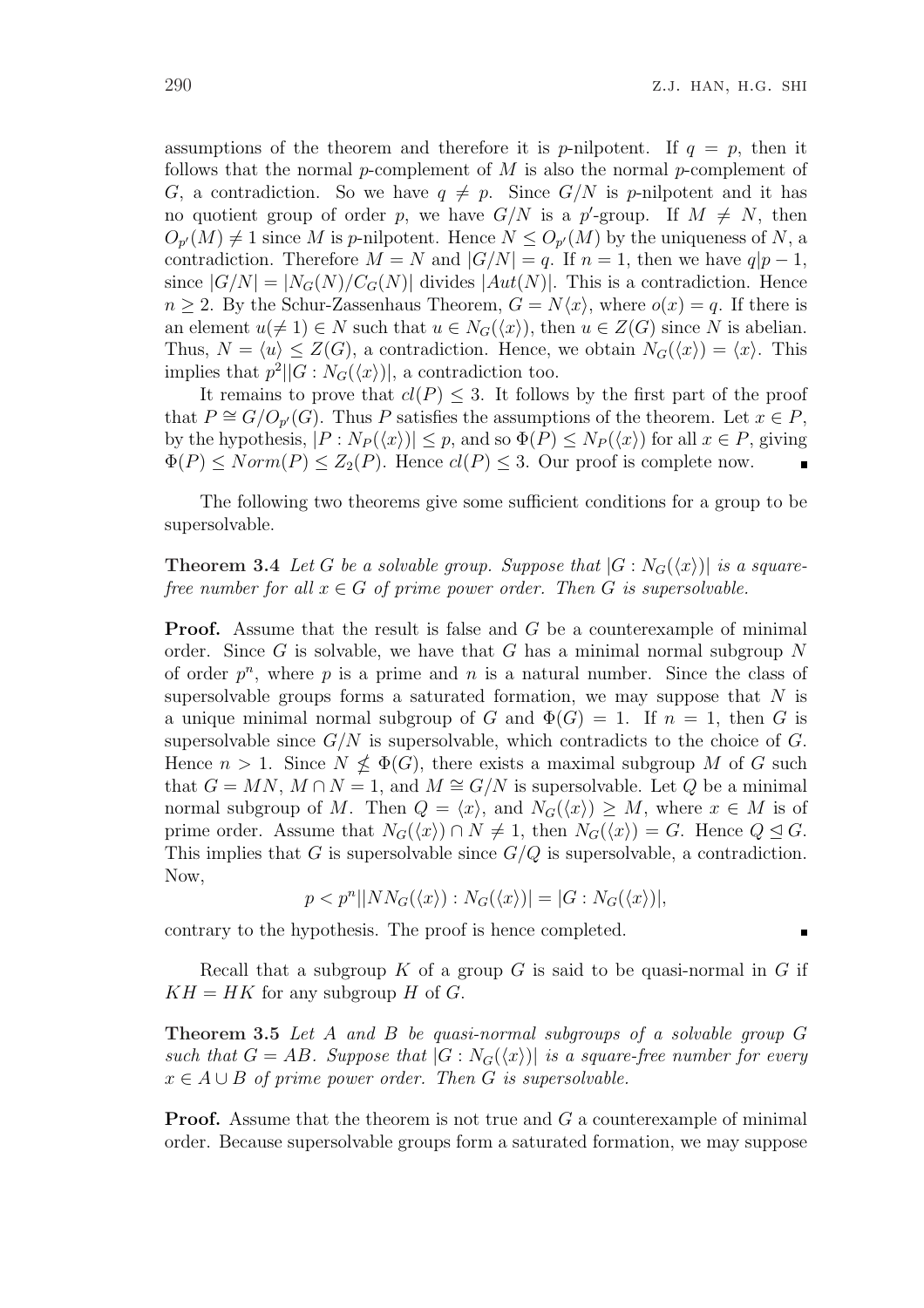assumptions of the theorem and therefore it is p-nilpotent. If  $q = p$ , then it follows that the normal p-complement of  $M$  is also the normal p-complement of G, a contradiction. So we have  $q \neq p$ . Since  $G/N$  is p-nilpotent and it has no quotient group of order p, we have  $G/N$  is a p'-group. If  $M \neq N$ , then  $O_{p'}(M) \neq 1$  since M is p-nilpotent. Hence  $N \leq O_{p'}(M)$  by the uniqueness of N, a contradiction. Therefore  $M = N$  and  $|G/N| = q$ . If  $n = 1$ , then we have  $q|p-1$ , since  $|G/N| = |N_G(N)/C_G(N)|$  divides  $|Aut(N)|$ . This is a contradiction. Hence  $n \geq 2$ . By the Schur-Zassenhaus Theorem,  $G = N\langle x \rangle$ , where  $o(x) = q$ . If there is an element  $u(\neq 1) \in N$  such that  $u \in N_G(\langle x \rangle)$ , then  $u \in Z(G)$  since N is abelian. Thus,  $N = \langle u \rangle \leq Z(G)$ , a contradiction. Hence, we obtain  $N_G(\langle x \rangle) = \langle x \rangle$ . This implies that  $p^2||G:N_G(\langle x \rangle)|$ , a contradiction too.

It remains to prove that  $cl(P) \leq 3$ . It follows by the first part of the proof that  $P \cong G/O_{p'}(G)$ . Thus P satisfies the assumptions of the theorem. Let  $x \in P$ , by the hypothesis,  $|P: N_P(\langle x \rangle)| \leq p$ , and so  $\Phi(P) \leq N_P(\langle x \rangle)$  for all  $x \in P$ , giving  $\Phi(P) \leq Norm(P) \leq Z_2(P)$ . Hence  $cl(P) \leq 3$ . Our proof is complete now.

The following two theorems give some sufficient conditions for a group to be supersolvable.

**Theorem 3.4** Let G be a solvable group. Suppose that  $|G: N_G(\langle x \rangle)|$  is a squarefree number for all  $x \in G$  of prime power order. Then G is supersolvable.

**Proof.** Assume that the result is false and G be a counterexample of minimal order. Since  $G$  is solvable, we have that  $G$  has a minimal normal subgroup  $N$ of order  $p^n$ , where p is a prime and n is a natural number. Since the class of supersolvable groups forms a saturated formation, we may suppose that  $N$  is a unique minimal normal subgroup of G and  $\Phi(G) = 1$ . If  $n = 1$ , then G is supersolvable since  $G/N$  is supersolvable, which contradicts to the choice of  $G$ . Hence  $n > 1$ . Since  $N \nleq \Phi(G)$ , there exists a maximal subgroup M of G such that  $G = MN$ ,  $M \cap N = 1$ , and  $M \cong G/N$  is supersolvable. Let Q be a minimal normal subgroup of M. Then  $Q = \langle x \rangle$ , and  $N_G(\langle x \rangle) \geq M$ , where  $x \in M$  is of prime order. Assume that  $N_G(\langle x \rangle) \cap N \neq 1$ , then  $N_G(\langle x \rangle) = G$ . Hence  $Q \trianglelefteq G$ . This implies that G is supersolvable since  $G/Q$  is supersolvable, a contradiction. Now,

$$
p < pn \vert \vert NN_G(\langle x \rangle) : N_G(\langle x \rangle) \vert = \vert G : N_G(\langle x \rangle) \vert,
$$

contrary to the hypothesis. The proof is hence completed.

Recall that a subgroup K of a group G is said to be quasi-normal in G if  $KH = HK$  for any subgroup H of G.

Theorem 3.5 Let A and B be quasi-normal subgroups of a solvable group G such that  $G = AB$ . Suppose that  $|G : N_G(\langle x \rangle)|$  is a square-free number for every  $x \in A \cup B$  of prime power order. Then G is supersolvable.

**Proof.** Assume that the theorem is not true and G a counterexample of minimal order. Because supersolvable groups form a saturated formation, we may suppose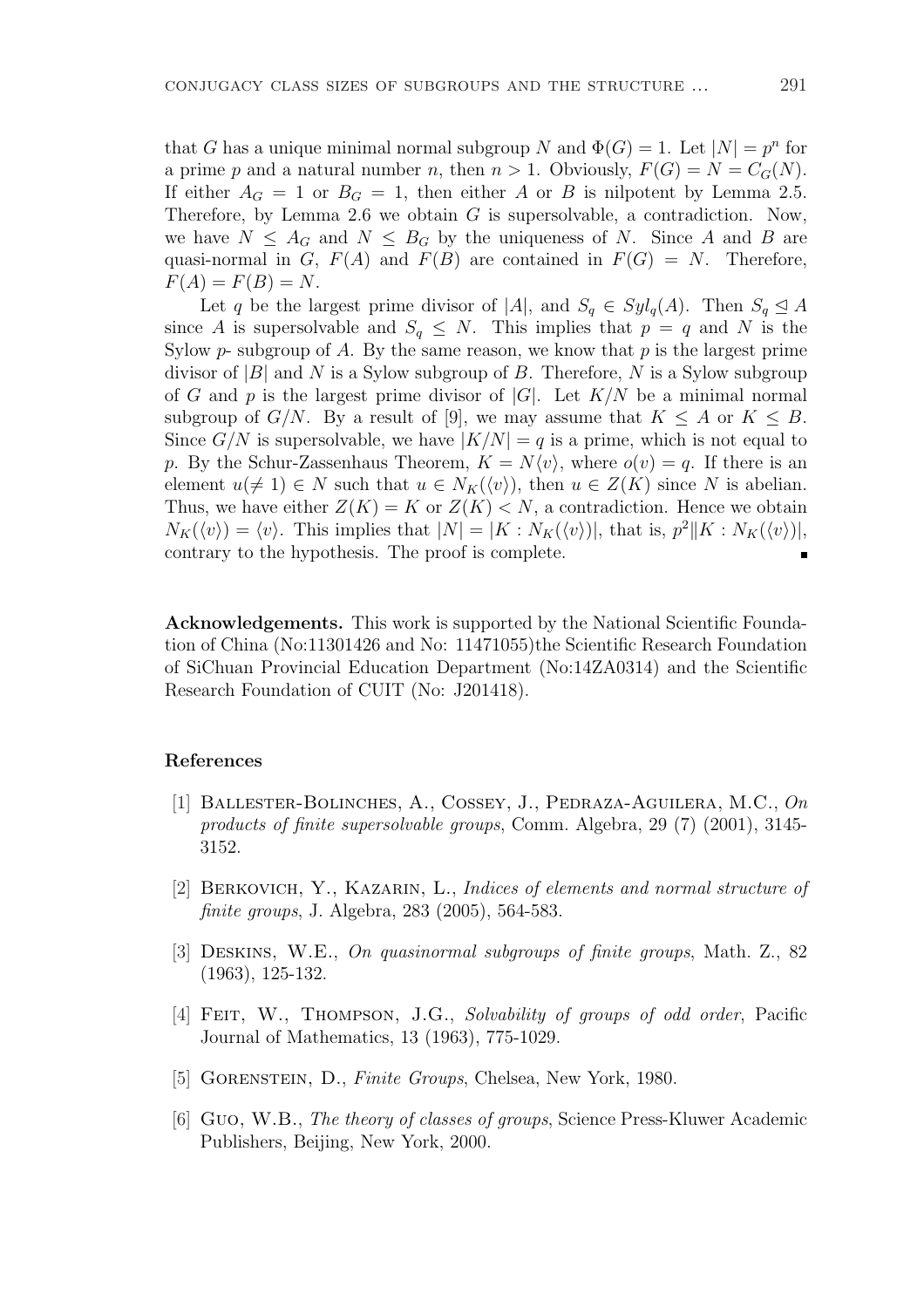that G has a unique minimal normal subgroup N and  $\Phi(G) = 1$ . Let  $|N| = p^n$  for a prime p and a natural number n, then  $n > 1$ . Obviously,  $F(G) = N = C_G(N)$ . If either  $A_G = 1$  or  $B_G = 1$ , then either A or B is nilpotent by Lemma 2.5. Therefore, by Lemma 2.6 we obtain  $G$  is supersolvable, a contradiction. Now, we have  $N \leq A_G$  and  $N \leq B_G$  by the uniqueness of N. Since A and B are quasi-normal in G,  $F(A)$  and  $F(B)$  are contained in  $F(G) = N$ . Therefore,  $F(A) = F(B) = N.$ 

Let q be the largest prime divisor of |A|, and  $S_q \in Syl_q(A)$ . Then  $S_q \trianglelefteq A$ since A is supersolvable and  $S_q \leq N$ . This implies that  $p = q$  and N is the Sylow  $p$ - subgroup of A. By the same reason, we know that  $p$  is the largest prime divisor of  $|B|$  and N is a Sylow subgroup of B. Therefore, N is a Sylow subgroup of G and p is the largest prime divisor of  $|G|$ . Let  $K/N$  be a minimal normal subgroup of  $G/N$ . By a result of [9], we may assume that  $K \leq A$  or  $K \leq B$ . Since  $G/N$  is supersolvable, we have  $|K/N| = q$  is a prime, which is not equal to p. By the Schur-Zassenhaus Theorem,  $K = N\langle v \rangle$ , where  $o(v) = q$ . If there is an element  $u(\neq 1) \in N$  such that  $u \in N_K(\langle v \rangle)$ , then  $u \in Z(K)$  since N is abelian. Thus, we have either  $Z(K) = K$  or  $Z(K) < N$ , a contradiction. Hence we obtain  $N_K(\langle v \rangle) = \langle v \rangle$ . This implies that  $|N| = |K : N_K(\langle v \rangle)|$ , that is,  $p^2 || K : N_K(\langle v \rangle)|$ , contrary to the hypothesis. The proof is complete. Ė

Acknowledgements. This work is supported by the National Scientific Foundation of China (No:11301426 and No: 11471055)the Scientific Research Foundation of SiChuan Provincial Education Department (No:14ZA0314) and the Scientific Research Foundation of CUIT (No: J201418).

# References

- [1] Ballester-Bolinches, A., Cossey, J., Pedraza-Aguilera, M.C., On products of finite supersolvable groups, Comm. Algebra, 29 (7) (2001), 3145- 3152.
- [2] Berkovich, Y., Kazarin, L., Indices of elements and normal structure of finite groups, J. Algebra, 283 (2005), 564-583.
- [3] Deskins, W.E., On quasinormal subgroups of finite groups, Math. Z., 82 (1963), 125-132.
- [4] Feit, W., Thompson, J.G., Solvability of groups of odd order, Pacific Journal of Mathematics, 13 (1963), 775-1029.
- [5] GORENSTEIN, D., Finite Groups, Chelsea, New York, 1980.
- [6] Guo, W.B., The theory of classes of groups, Science Press-Kluwer Academic Publishers, Beijing, New York, 2000.